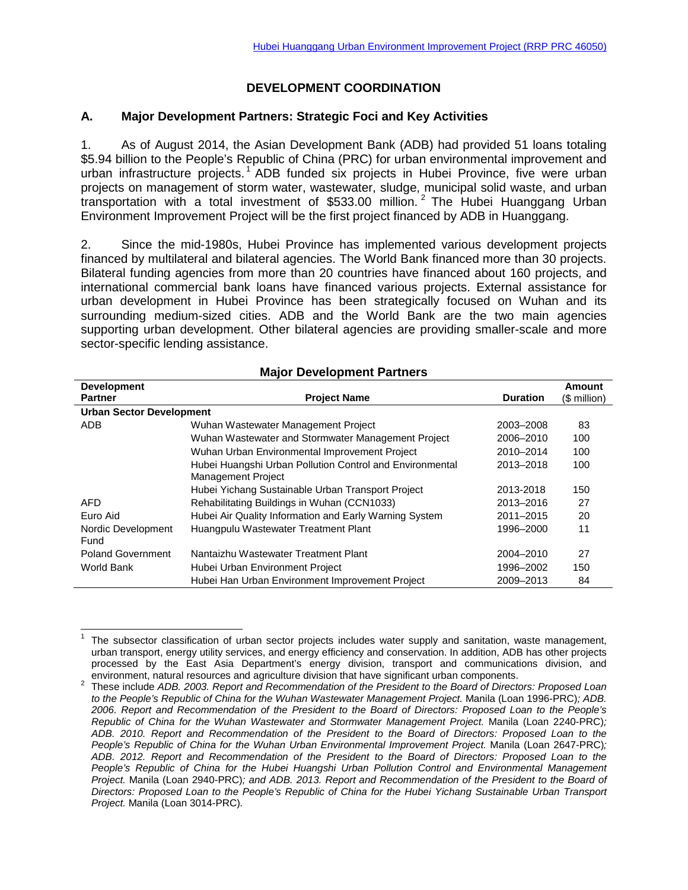# **DEVELOPMENT COORDINATION**

## **A. Major Development Partners: Strategic Foci and Key Activities**

1. As of August 2014, the Asian Development Bank (ADB) had provided 51 loans totaling \$5.94 billion to the People's Republic of China (PRC) for urban environmental improvement and urban infrastructure projects.<sup>[1](#page-0-0)</sup> ADB funded six projects in Hubei Province, five were urban projects on management of storm water, wastewater, sludge, municipal solid waste, and urban transportation with a total investment of \$533.00 million.<sup>[2](#page-0-1)</sup> The Hubei Huanggang Urban Environment Improvement Project will be the first project financed by ADB in Huanggang.

2. Since the mid-1980s, Hubei Province has implemented various development projects financed by multilateral and bilateral agencies. The World Bank financed more than 30 projects. Bilateral funding agencies from more than 20 countries have financed about 160 projects, and international commercial bank loans have financed various projects. External assistance for urban development in Hubei Province has been strategically focused on Wuhan and its surrounding medium-sized cities. ADB and the World Bank are the two main agencies supporting urban development. Other bilateral agencies are providing smaller-scale and more sector-specific lending assistance.

| <b>Development</b>              |                                                                                       |                 | Amount       |
|---------------------------------|---------------------------------------------------------------------------------------|-----------------|--------------|
| <b>Partner</b>                  | <b>Project Name</b>                                                                   | <b>Duration</b> | (\$ million) |
| <b>Urban Sector Development</b> |                                                                                       |                 |              |
| <b>ADB</b>                      | Wuhan Wastewater Management Project                                                   | 2003-2008       | 83           |
|                                 | Wuhan Wastewater and Stormwater Management Project                                    | 2006-2010       | 100          |
|                                 | Wuhan Urban Environmental Improvement Project                                         | 2010-2014       | 100          |
|                                 | Hubei Huangshi Urban Pollution Control and Environmental<br><b>Management Project</b> | 2013-2018       | 100          |
|                                 | Hubei Yichang Sustainable Urban Transport Project                                     | 2013-2018       | 150          |
|                                 |                                                                                       |                 |              |
| AFD.                            | Rehabilitating Buildings in Wuhan (CCN1033)                                           | 2013-2016       | 27           |
| Euro Aid                        | Hubei Air Quality Information and Early Warning System                                | 2011-2015       | 20           |
| Nordic Development<br>Fund      | Huangpulu Wastewater Treatment Plant                                                  | 1996-2000       | 11           |
| <b>Poland Government</b>        | Nantaizhu Wastewater Treatment Plant                                                  | 2004-2010       | 27           |
| World Bank                      | Hubei Urban Environment Project                                                       | 1996-2002       | 150          |
|                                 | Hubei Han Urban Environment Improvement Project                                       | 2009-2013       | 84           |

## **Major Development Partners**

<span id="page-0-0"></span><sup>1</sup> The subsector classification of urban sector projects includes water supply and sanitation, waste management, urban transport, energy utility services, and energy efficiency and conservation. In addition, ADB has other projects processed by the East Asia Department's energy division, transport and communications division, and  $\overline{a}$ 

<span id="page-0-1"></span>environment, natural resources and agriculture division that have significant urban components. <sup>2</sup> These include *ADB. 2003. Report and Recommendation of the President to the Board of Directors: Proposed Loan to the People's Republic of China for the Wuhan Wastewater Management Project.* Manila (Loan 1996-PRC)*; ADB. 2006. Report and Recommendation of the President to the Board of Directors: Proposed Loan to the People's Republic of China for the Wuhan Wastewater and Stormwater Management Project. Manila (Loan 2240-PRC); ADB. 2010. Report and Recommendation of the President to the Board of Directors: Proposed Loan to the People's Republic of China for the Wuhan Urban Environmental Improvement Project. Manila (Loan 2647-PRC); ADB. 2012. Report and Recommendation of the President to the Board of Directors: Proposed Loan to the People's Republic of China for the Hubei Huangshi Urban Pollution Control and Environmental Management Project.* Manila (Loan 2940-PRC); and ADB. 2013. Report and Recommendation of the President to the Board of *Directors: Proposed Loan to the People's Republic of China for the Hubei Yichang Sustainable Urban Transport Project.* Manila (Loan 3014-PRC)*.*